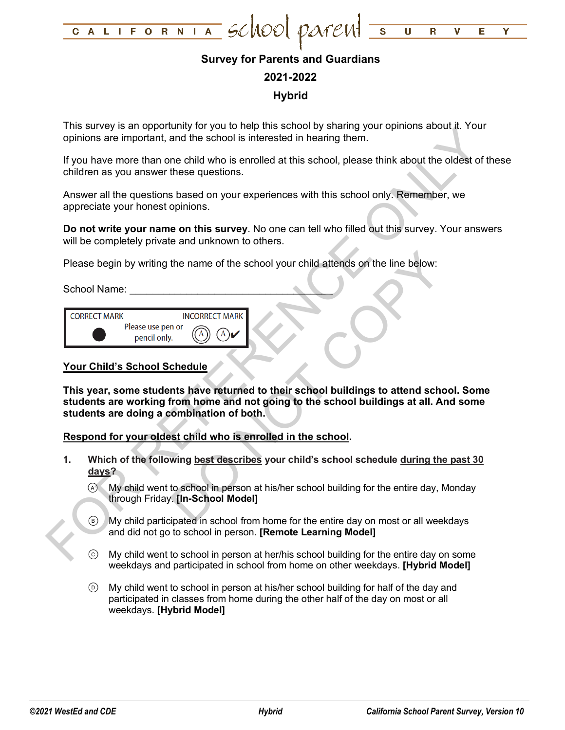

# **Survey for Parents and Guardians**

### **2021-2022**

# **Hybrid**

This survey is an opportunity for you to help this school by sharing your opinions about it. Your opinions are important, and the school is interested in hearing them.

If you have more than one child who is enrolled at this school, please think about the oldest of these children as you answer these questions.

Answer all the questions based on your experiences with this school only. Remember, we appreciate your honest opinions.

**Do not write your name on this survey**. No one can tell who filled out this survey. Your answers will be completely private and unknown to others.

Please begin by writing the name of the school your child attends on the line below:

School Name:

| <b>CORRECT MARK</b> |                                   | <b>INCORRECT MARK I</b> |
|---------------------|-----------------------------------|-------------------------|
|                     | Please use pen or<br>pencil only. |                         |

### **Your Child's School Schedule**

Thus save year and point of your diversion of your parameterized in heating them.<br>
The same in the school is interested in heating them.<br>
If you have more than one child who is errolled at this school, please think about t The name of the school your child attends on the line below:<br>
NOT DRECT MARK<br>
THE MARK<br>
THE MARK<br>
Chedule<br>
This have returned to their school buildings to attend school<br>
This have returned to their school buildings at all. **This year, some students have returned to their school buildings to attend school. Some students are working from home and not going to the school buildings at all. And some students are doing a combination of both.**

**Respond for your oldest child who is enrolled in the school.**

- **1. Which of the following best describes your child's school schedule during the past 30 days?**
	- My child went to school in person at his/her school building for the entire day, Monday through Friday. **[In-School Model]**
	- My child participated in school from home for the entire day on most or all weekdays and did not go to school in person. **[Remote Learning Model]**
	- My child went to school in person at her/his school building for the entire day on some weekdays and participated in school from home on other weekdays. **[Hybrid Model]**
	- My child went to school in person at his/her school building for half of the day and participated in classes from home during the other half of the day on most or all weekdays. **[Hybrid Model]**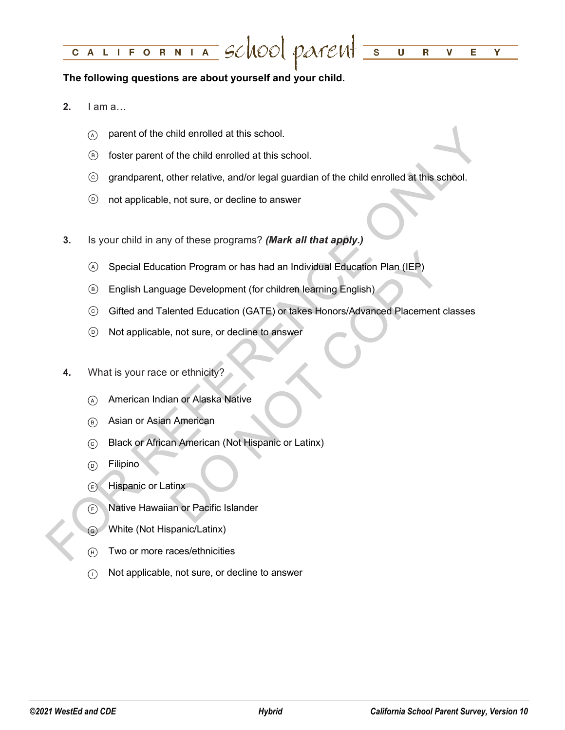#### LIFORNIA SCHOOL PATENT =  $\overline{\textsf{U}}$ C A  $\overline{\mathbf{R}}$  $\mathbf v$ Е Y

## **The following questions are about yourself and your child.**

- **2.** I am a…
	- $\alpha$  parent of the child enrolled at this school.
	- foster parent of the child enrolled at this school.
	- grandparent, other relative, and/or legal guardian of the child enrolled at this school.
	- not applicable, not sure, or decline to answer
- **3.** Is your child in any of these programs? *(Mark all that apply.)*
	- Special Education Program or has had an Individual Education Plan (IEP)
	- English Language Development (for children learning English)
- $\odot$  parent of the child enrolled at this school.<br>  $\odot$  foster parent of the child enrolled at this school.<br>  $\odot$  grandparent, other relative, and/or legal guardian of the child enrolled at this school.<br>  $\odot$  not ap tion Program or has had an Individual Education Plan (IEP)<br>age Development (for children learning English)<br>ented Education (GATE) or takes Honors/Advanced Placement cla<br>, not sure, or decline to answer<br>or ethnicity?<br>an or Gifted and Talented Education (GATE) or takes Honors/Advanced Placement classes
	- Not applicable, not sure, or decline to answer
	- **4.** What is your race or ethnicity?
		- American Indian or Alaska Native
		- Asian or Asian American
		- Black or African American (Not Hispanic or Latinx)
		- (b) Filipino
		- Hispanic or Latinx
		- Native Hawaiian or Pacific Islander
		- White (Not Hispanic/Latinx)
		- (F) Two or more races/ethnicities
		- $\cap$  Not applicable, not sure, or decline to answer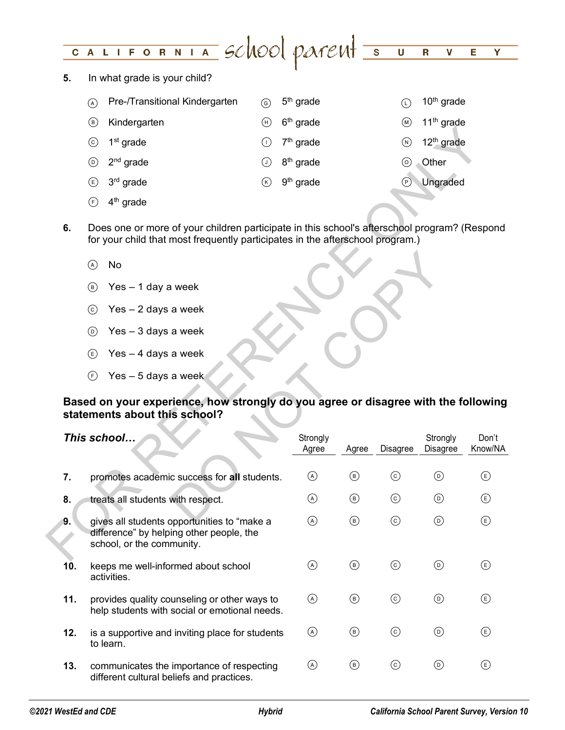#### LIFORNIA SCHOOL PATENT 5  $\overline{\mathsf{U}}$  $C$   $A$  $\overline{\mathbf{R}}$ V E Ÿ

**5.** In what grade is your child?

| $\mathcal{A}$ | Pre-/Transitional Kindergarten | (ତ) 5 <sup>th</sup> grade           |     | 10 <sup>th</sup> grade |
|---------------|--------------------------------|-------------------------------------|-----|------------------------|
| (B)           | Kindergarten                   | $(h)$ 6 <sup>th</sup> grade         | (м) | 11 <sup>th</sup> grade |
|               | $\odot$ 1 <sup>st</sup> grade  | $\bigcirc$ 7 <sup>th</sup> grade    | (N) | 12 <sup>th</sup> grade |
| (D)           | 2 <sup>nd</sup> grade          | $\circled{)}$ 8 <sup>th</sup> grade |     | Other                  |
|               | $(E)$ 3 <sup>rd</sup> grade    | $(k)$ 9 <sup>th</sup> grade         |     | Ungraded               |

- $(A)$  No
- $(B)$  Yes 1 day a week
- $\circledcirc$  Yes 2 days a week
- $\circledcirc$  Yes 3 days a week
- $(E)$  Yes 4 days a week
- $F$  Yes 5 days a week

# **Based on your experience, how strongly do you agree or disagree with the following statements about this school?**

|     | $\odot$                   | $1st$ grade                                                                                                                                                                   | $(\mathsf{I})$ | $7th$ grade           |                |            | 12 <sup>th</sup> grade<br>$\circledR$ |                  |
|-----|---------------------------|-------------------------------------------------------------------------------------------------------------------------------------------------------------------------------|----------------|-----------------------|----------------|------------|---------------------------------------|------------------|
|     | $^{\copyright}$           | $2nd$ grade                                                                                                                                                                   | ⊙              | 8 <sup>th</sup> grade |                |            | Other<br>$\circledcirc$               |                  |
|     | ⊕                         | $3rd$ grade                                                                                                                                                                   | $^\circledR$   | $9th$ grade           |                |            | Ungraded<br>$^{\copyright}$           |                  |
|     | $\bigodot$                | $4th$ grade                                                                                                                                                                   |                |                       |                |            |                                       |                  |
| 6.  |                           | Does one or more of your children participate in this school's afterschool program? (Respond<br>for your child that most frequently participates in the afterschool program.) |                |                       |                |            |                                       |                  |
|     |                           | No                                                                                                                                                                            |                |                       |                |            |                                       |                  |
|     | $\circledast$             | Yes - 1 day a week                                                                                                                                                            |                |                       |                |            |                                       |                  |
|     | $\circled{c}$             | $Yes - 2 days a week$                                                                                                                                                         |                |                       |                |            |                                       |                  |
|     | $\circledcirc$            | $Yes - 3 days a week$                                                                                                                                                         |                |                       |                |            |                                       |                  |
|     | $\left(\mathsf{E}\right)$ | Yes - 4 days a week                                                                                                                                                           |                |                       |                |            |                                       |                  |
|     | (F)                       | Yes - 5 days a week                                                                                                                                                           |                |                       |                |            |                                       |                  |
|     |                           |                                                                                                                                                                               |                |                       |                |            |                                       |                  |
|     |                           | Based on your experience, how strongly do you agree or disagree with the following<br>statements about this school?                                                           |                |                       |                |            |                                       |                  |
|     |                           | This school                                                                                                                                                                   |                | Strongly<br>Agree     | Agree          | Disagree   | Strongly<br>Disagree                  | Don't<br>Know/NA |
| 7.  |                           | promotes academic success for all students.                                                                                                                                   |                | $\odot$               | $\circledcirc$ | $_{\odot}$ | $^{\circledR}$                        | $\circlede$      |
| 8.  |                           | treats all students with respect.                                                                                                                                             |                | $\odot$               | $^{\circledR}$ | $_{\odot}$ | $^{\circledR}$                        | $\circlede$      |
| 9.  |                           | gives all students opportunities to "make a<br>difference" by helping other people, the<br>school, or the community.                                                          |                | $\odot$               | $^{\circledR}$ | $_{\odot}$ | $^{\copyright}$                       | $^{\circledR}$   |
| 10. |                           | keeps me well-informed about school<br>activities.                                                                                                                            |                | $\circledcirc$        | $\circledcirc$ | $\odot$    | $\circledcirc$                        | $\circlede$      |
| 11. |                           | provides quality counseling or other ways to<br>help students with social or emotional needs.                                                                                 |                | $\circledcirc$        | $\circledcirc$ | $\odot$    | $\circledcirc$                        | $\circlede$      |
| 12. |                           | is a supportive and inviting place for students<br>to learn.                                                                                                                  |                | $\odot$               | $\circledcirc$ | $\odot$    | $^{\copyright}$                       | $\circlede$      |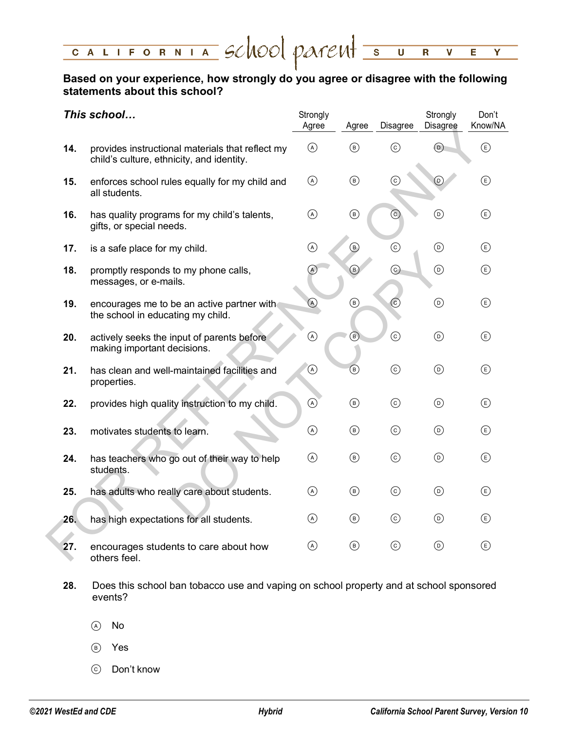### CALIFORNIA SCHOOL PATENT 5  $\overline{\mathsf{U}}$  $\overline{\mathbf{R}}$ V Е Y

# **Based on your experience, how strongly do you agree or disagree with the following statements about this school?**

|     | This school                                                                                   | Strongly<br>Agree | Agree                                | Disagree | Strongly<br>Disagree              | Don't<br>Know/NA          |
|-----|-----------------------------------------------------------------------------------------------|-------------------|--------------------------------------|----------|-----------------------------------|---------------------------|
| 14. | provides instructional materials that reflect my<br>child's culture, ethnicity, and identity. | $\odot$           | $\circledcirc$                       | $\odot$  | $\odot$                           | $\bigcirc$                |
| 15. | enforces school rules equally for my child and<br>all students.                               | $\circledcirc$    | $^{\circledR}$                       | (c)      | $_{\textcircled{\scriptsize{1}}}$ | $^{\circledR}$            |
| 16. | has quality programs for my child's talents,<br>gifts, or special needs.                      | $\odot$           | $^{\circledR}$                       | <u>ල</u> | $^{\copyright}$                   | $\bigcirc$                |
| 17. | is a safe place for my child.                                                                 | $\odot$           | $^\copyright$                        | $\odot$  | $\odot$                           | $\bigcirc$                |
| 18. | promptly responds to my phone calls,<br>messages, or e-mails.                                 | $\circledcirc$    | $\circledcirc$                       | $\odot$  | $\odot$                           | $\bigcirc$                |
| 19. | encourages me to be an active partner with<br>the school in educating my child.               | $\odot$           | $\circledcirc$                       | $\odot$  | $^{\circledR}$                    | $\bigcirc$                |
| 20. | actively seeks the input of parents before<br>making important decisions.                     | $^\copyright$     | $^\circledR$                         | $\odot$  | $\odot$                           | $\bigcirc$                |
| 21. | has clean and well-maintained facilities and<br>properties.                                   | $\circledcirc$    | $^{\circledR}$                       | $\odot$  | $\odot$                           | $\bigcirc$                |
| 22. | provides high quality instruction to my child.                                                | $\circledcirc$    | $^{\circledR}$                       | $\odot$  | $\circledcirc$                    | $\bigcirc$                |
| 23. | motivates students to learn.                                                                  | $\circledcirc$    | $^{\circledR}$                       | $\odot$  | $\circledcirc$                    | $\bigcirc$                |
| 24. | has teachers who go out of their way to help<br>students.                                     | $\circledcirc$    | $^{\circledR}$                       | $\odot$  | $\odot$                           | $\circled$                |
| 25. | has adults who really care about students.                                                    | $\circledcirc$    | $^{\circledR}$                       | $\odot$  | $\circledcirc$                    | $\bigcirc$                |
| 26. | has high expectations for all students.                                                       | $\circledA$       | $^{\circledR}$                       | $\odot$  | $\odot$                           | $\left(\mathsf{E}\right)$ |
| 27. | encourages students to care about how<br>others feel.                                         | $\circledcirc$    | $\circled{\scriptstyle\mathsf{(B)}}$ | $\odot$  | $\odot$                           | $\bigcirc$                |

- **28.** Does this school ban tobacco use and vaping on school property and at school sponsored events?
	- (A) No
	- Yes
	- Don't know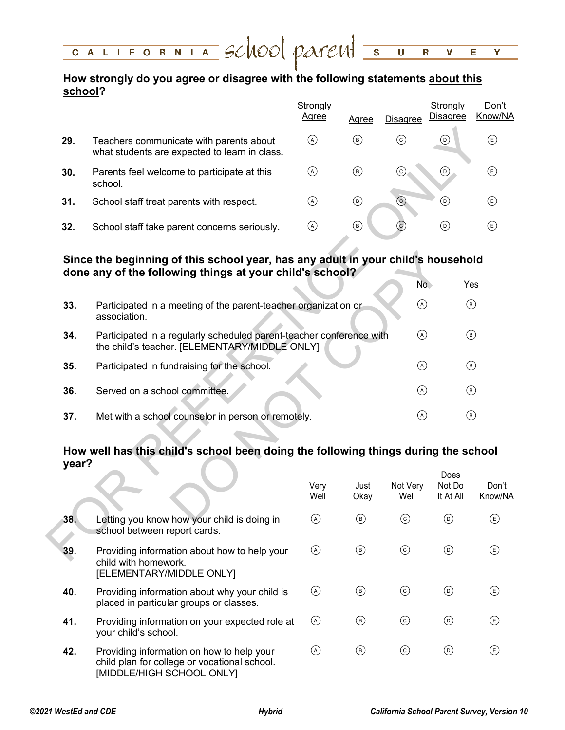#### CALIFORNIA SCHOOL PATENT 5  $\overline{\mathsf{U}}$  $\mathbf R$ V E Y

# **How strongly do you agree or disagree with the following statements about this school?**

|     |                                                                                          | Strongly<br>Agree | Agree                    | <b>Disagree</b> | Strongly<br><b>Disagree</b> | Don't<br>Know/NA |
|-----|------------------------------------------------------------------------------------------|-------------------|--------------------------|-----------------|-----------------------------|------------------|
| 29. | Teachers communicate with parents about<br>what students are expected to learn in class. | (A)               | (B)                      | (c)             | (D)                         | E)               |
| 30. | Parents feel welcome to participate at this<br>school.                                   | (A)               | (B)                      | (c)             | (D)                         | E)               |
| 31. | School staff treat parents with respect.                                                 | (A)               | $\rm \left(\rm B\right)$ | $\odot$         | (D)                         | E)               |
| 32. | School staff take parent concerns seriously.                                             | ( A )             | (B)                      | (c)             | (D)                         | $\mathsf{E}$     |

## **Since the beginning of this school year, has any adult in your child's household done any of the following things at your child's school?**

| 29.   | Teachers communicate with parents about<br>what students are expected to learn in class.                                                     | $\odot$      | $\circledcirc$ | $\odot$          | $_{\textcircled{\scriptsize{1}}}$ | €              |
|-------|----------------------------------------------------------------------------------------------------------------------------------------------|--------------|----------------|------------------|-----------------------------------|----------------|
| 30.   | Parents feel welcome to participate at this<br>school.                                                                                       | $\odot$      | $\circledcirc$ | (c)              | $\odot$                           | $\bigoplus$    |
| 31.   | School staff treat parents with respect.                                                                                                     | $\odot$      | $^{\circledR}$ | $\odot$          | $_{\textcircled{\scriptsize{1}}}$ | $\bigoplus$    |
| 32.   | School staff take parent concerns seriously.                                                                                                 | $\odot$      | $^{\circledR}$ | (c)              | $\odot$                           | $\bigoplus$    |
|       | Since the beginning of this school year, has any adult in your child's household<br>done any of the following things at your child's school? |              |                |                  |                                   |                |
|       |                                                                                                                                              |              |                | No.              |                                   | Yes            |
| 33.   | Participated in a meeting of the parent-teacher organization or<br>association.                                                              |              |                | $\odot$          |                                   | $^{\circledR}$ |
| 34.   | Participated in a regularly scheduled parent-teacher conference with<br>the child's teacher. [ELEMENTARY/MIDDLE ONLY]                        |              |                | $\odot$          |                                   | $^{\circledR}$ |
| 35.   | Participated in fundraising for the school.                                                                                                  |              |                | $\circled{A}$    |                                   | $^{\circledR}$ |
| 36.   | Served on a school committee.                                                                                                                |              |                | $\odot$          |                                   | $\circled{B}$  |
| 37.   | Met with a school counselor in person or remotely.                                                                                           |              |                | $\circledcirc$   |                                   | $^{\circledR}$ |
| year? | How well has this child's school been doing the following things during the school                                                           |              |                |                  |                                   |                |
|       |                                                                                                                                              | Very<br>Well | Just<br>Okay   | Not Very<br>Well | Does<br>Not Do<br>It At All       | Do<br>Knoy     |
| 38.   | Letting you know how your child is doing in<br>school between report cards.                                                                  | $\odot$      | $^{\circledR}$ | $\odot$          | $\odot$                           | €              |
| 39.   | Providing information about how to help your<br>والممتندموهما والأثير امائواه                                                                | $\odot$      | $^{\circledR}$ | $_{\odot}$       | $^{\copyright}$                   | Œ              |

### **How well has this child's school been doing the following things during the school year?** Does

|     |                                                                                                                        | Very<br>Well                                         | Just<br>Okay | Not Very<br>Well | <b>DUES</b><br>Not Do<br>It At All | Don't<br>Know/NA |
|-----|------------------------------------------------------------------------------------------------------------------------|------------------------------------------------------|--------------|------------------|------------------------------------|------------------|
| 38. | Letting you know how your child is doing in<br>school between report cards.                                            | $\left(\begin{matrix} \mathsf{A}\end{matrix}\right)$ | (в)          | (c)              | (D)                                | (E)              |
| 39. | Providing information about how to help your<br>child with homework.<br>[ELEMENTARY/MIDDLE ONLY]                       | (A)                                                  | (в)          | (c)              | $(\circ)$                          | (E)              |
| 40. | Providing information about why your child is<br>placed in particular groups or classes.                               | (A)                                                  | (B)          | (c)              | $(\circ)$                          | (E)              |
| 41. | Providing information on your expected role at<br>your child's school.                                                 | $\circled{A}$                                        | (в)          | (c)              | (D)                                | (E)              |
| 42. | Providing information on how to help your<br>child plan for college or vocational school.<br>[MIDDLE/HIGH SCHOOL ONLY] | (A)                                                  | (в)          | (c)              | $(\circ)$                          | (E)              |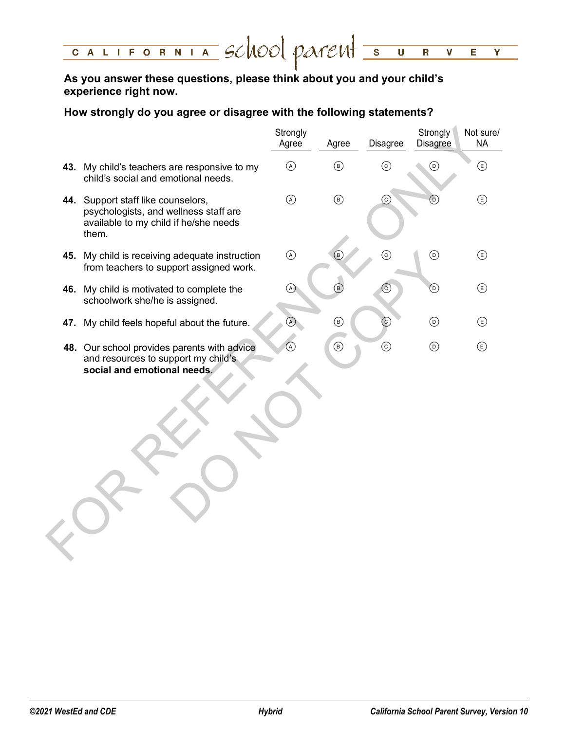#### CALIFORNIA School parent =  $\overline{\mathsf{U}}$  $\overline{\mathbf{R}}$  $\overline{\textbf{v}}$ E. Y

# **As you answer these questions, please think about you and your child's experience right now.**

# **How strongly do you agree or disagree with the following statements?**

|                                                                                                                               | Strongly<br>Agree | Agree                         | Disagree   | Strongly<br>Disagree              | Not sure/<br><b>NA</b>             |
|-------------------------------------------------------------------------------------------------------------------------------|-------------------|-------------------------------|------------|-----------------------------------|------------------------------------|
| 43. My child's teachers are responsive to my<br>child's social and emotional needs.                                           | $\odot$           | $\circledcirc$                | $\odot$    | $\odot$                           | $\circled{\scriptstyle\mathsf{E}}$ |
| 44. Support staff like counselors,<br>psychologists, and wellness staff are<br>available to my child if he/she needs<br>them. | $\odot$           | $\circledcirc$                | $_{\odot}$ | $_{\textcircled{\scriptsize{1}}}$ | $\bigcirc$                         |
| 45. My child is receiving adequate instruction<br>from teachers to support assigned work.                                     | $\odot$           | $\circledcirc$                | $\odot$    | $\odot$                           | $\circlede$                        |
| 46. My child is motivated to complete the<br>schoolwork she/he is assigned.                                                   | $\odot$           | $\bigcirc$                    | $_{\odot}$ | $_{\textcircled{\scriptsize{1}}}$ | $\circlede$                        |
| 47. My child feels hopeful about the future.                                                                                  | $\circledR$       | $^{\circledR}$                | $_{\odot}$ | $\odot$                           | $\bigcirc$                         |
| 48. Our school provides parents with advice<br>and resources to support my child's<br>social and emotional needs.             | $\circledR$       | $\textcircled{\scriptsize 1}$ | $\odot$    | $\odot$                           | $\circled{\scriptstyle\mathsf{E}}$ |
|                                                                                                                               |                   |                               |            |                                   |                                    |